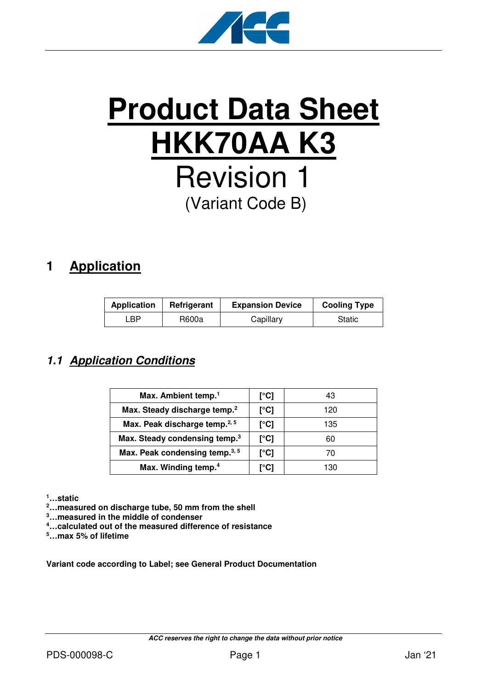

# **Product Data Sheet HKK70AA K3** Revision 1 (Variant Code B)

# **1 Application**

| <b>Application</b> | Refrigerant | <b>Expansion Device</b> | <b>Cooling Type</b> |
|--------------------|-------------|-------------------------|---------------------|
| ∟BP.               | R600a       | Capillary               | Static              |

## **1.1 Application Conditions**

| Max. Ambient temp. <sup>1</sup>            | [°C] | 43  |
|--------------------------------------------|------|-----|
| Max. Steady discharge temp. <sup>2</sup>   | [°C] | 120 |
| Max. Peak discharge temp. <sup>2, 5</sup>  | [°C] | 135 |
| Max. Steady condensing temp. <sup>3</sup>  | [°C] | 60  |
| Max. Peak condensing temp. <sup>3, 5</sup> | [°C] | 70  |
| Max. Winding temp. <sup>4</sup>            | [°C] | 130 |

**<sup>1</sup>…static** 

**<sup>2</sup>…measured on discharge tube, 50 mm from the shell** 

**<sup>3</sup>…measured in the middle of condenser** 

**<sup>4</sup>…calculated out of the measured difference of resistance** 

**<sup>5</sup>…max 5% of lifetime** 

**Variant code according to Label; see General Product Documentation**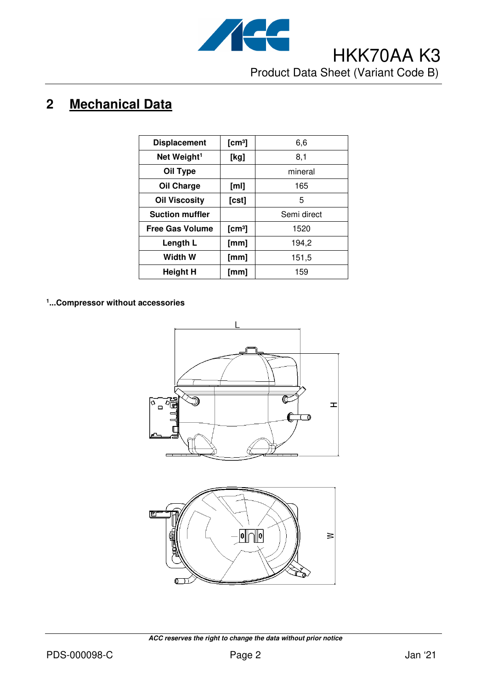

# **2 Mechanical Data**

| <b>Displacement</b>     | [cm <sup>3</sup> ] | 6,6         |
|-------------------------|--------------------|-------------|
| Net Weight <sup>1</sup> | [kg]               | 8,1         |
| Oil Type                |                    | mineral     |
| Oil Charge              | [ml]               | 165         |
| <b>Oil Viscosity</b>    | [cst]              | 5           |
| <b>Suction muffler</b>  |                    | Semi direct |
| <b>Free Gas Volume</b>  | [cm <sup>3</sup> ] | 1520        |
| Length L                | [mm]               | 194,2       |
| Width W                 | [mm]               | 151,5       |
| Height H                | [mm]               | 159         |

#### **1 ...Compressor without accessories**





 **ACC reserves the right to change the data without prior notice**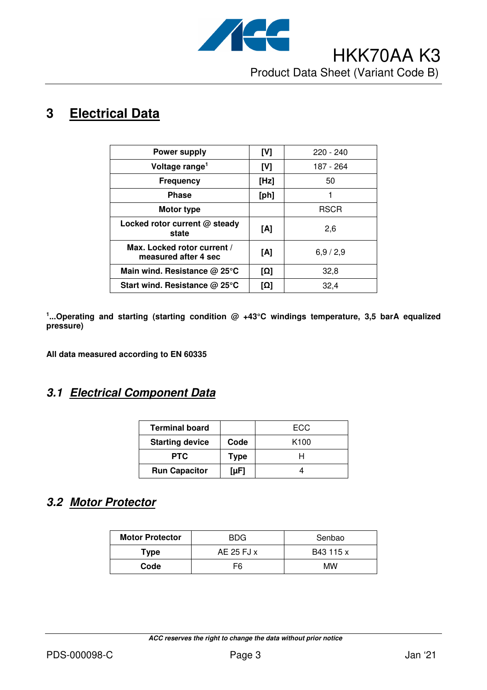

# **3 Electrical Data**

| <b>Power supply</b>                                 | [V]  | $220 - 240$ |
|-----------------------------------------------------|------|-------------|
| Voltage range <sup>1</sup>                          | [V]  | 187 - 264   |
| <b>Frequency</b>                                    | [Hz] | 50          |
| <b>Phase</b>                                        | [ph] |             |
| Motor type                                          |      | <b>RSCR</b> |
| Locked rotor current @ steady<br>state              | [A]  | 2,6         |
| Max. Locked rotor current /<br>measured after 4 sec | [A]  | 6,9/2,9     |
| Main wind. Resistance @ 25°C                        | [Ω]  | 32,8        |
| Start wind. Resistance @ 25°C                       | [Ω]  | 32,4        |

<sup>1</sup>...Operating and starting (starting condition @ +43°C windings temperature, 3,5 barA equalized **pressure)** 

**All data measured according to EN 60335** 

### **3.1 Electrical Component Data**

| <b>Terminal board</b>  |             | ECC.             |
|------------------------|-------------|------------------|
| <b>Starting device</b> | Code        | K <sub>100</sub> |
| <b>PTC</b>             | <b>Type</b> |                  |
| <b>Run Capacitor</b>   | [µF]        |                  |

### **3.2 Motor Protector**

| <b>Motor Protector</b> | <b>BDG</b>        | Senbao    |
|------------------------|-------------------|-----------|
| Type                   | AE 25 FJ $\times$ | B43 115 x |
| Code                   | F6                | МW        |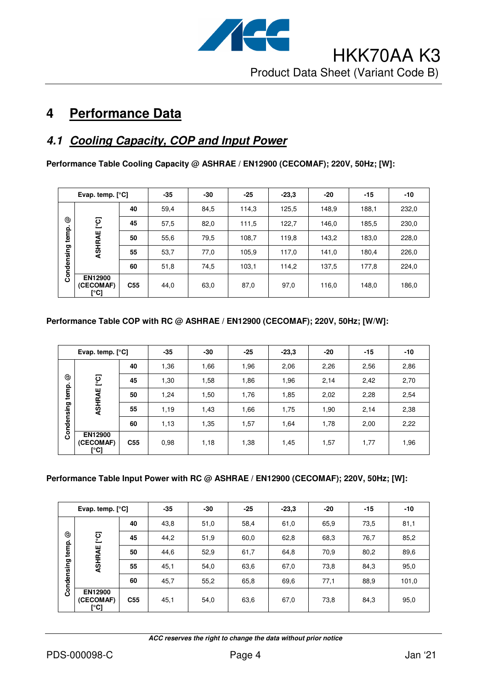

# **4 Performance Data**

## **4.1 Cooling Capacity, COP and Input Power**

**Performance Table Cooling Capacity @ ASHRAE / EN12900 (CECOMAF); 220V, 50Hz; [W]:** 

|            | Evap. temp. $[°C]$           |                 | $-35$ | -30  | $-25$ | $-23.3$ | $-20$ | $-15$ | $-10$ |
|------------|------------------------------|-----------------|-------|------|-------|---------|-------|-------|-------|
|            |                              | 40              | 59,4  | 84,5 | 114,3 | 125,5   | 148,9 | 188,1 | 232,0 |
| ල          | ုတ္                          | 45              | 57,5  | 82,0 | 111,5 | 122,7   | 146,0 | 185,5 | 230,0 |
| temp.      | ASHRAE                       | 50              | 55,6  | 79,5 | 108,7 | 119,8   | 143,2 | 183,0 | 228,0 |
|            |                              | 55              | 53,7  | 77,0 | 105,9 | 117,0   | 141,0 | 180,4 | 226,0 |
| Condensing |                              | 60              | 51,8  | 74,5 | 103,1 | 114,2   | 137,5 | 177,8 | 224,0 |
|            | EN12900<br>(CECOMAF)<br>[°C] | C <sub>55</sub> | 44,0  | 63,0 | 87,0  | 97,0    | 116,0 | 148,0 | 186,0 |

#### **Performance Table COP with RC @ ASHRAE / EN12900 (CECOMAF); 220V, 50Hz; [W/W]:**

|            | Evap. temp. $[°C]$                  |                 | $-35$ | -30  | $-25$ | $-23,3$ | -20  | $-15$ | $-10$ |
|------------|-------------------------------------|-----------------|-------|------|-------|---------|------|-------|-------|
|            |                                     | 40              | 1,36  | 1,66 | 1,96  | 2,06    | 2,26 | 2,56  | 2,86  |
| ☺          | ုတ္                                 | 45              | 1,30  | 1,58 | 1,86  | 1,96    | 2,14 | 2,42  | 2,70  |
| temp.      | ASHRAE                              | 50              | 1,24  | 1,50 | 1,76  | 1,85    | 2,02 | 2,28  | 2,54  |
|            |                                     | 55              | 1,19  | 1,43 | 1,66  | 1,75    | 1,90 | 2,14  | 2,38  |
| Condensing |                                     | 60              | 1,13  | 1,35 | 1,57  | 1,64    | 1,78 | 2,00  | 2,22  |
|            | <b>EN12900</b><br>(CECOMAF)<br>[°C] | C <sub>55</sub> | 0.98  | 1,18 | 1,38  | 1,45    | 1,57 | 1,77  | 1,96  |

#### **Performance Table Input Power with RC @ ASHRAE / EN12900 (CECOMAF); 220V, 50Hz; [W]:**

|            | Evap. temp. $[°C]$                  |                 | $-35$ | -30  | $-25$ | $-23.3$ | $-20$ | $-15$ | $-10$ |
|------------|-------------------------------------|-----------------|-------|------|-------|---------|-------|-------|-------|
|            |                                     | 40              | 43,8  | 51,0 | 58,4  | 61,0    | 65,9  | 73,5  | 81,1  |
| ☺          | <u>ု</u><br>၁                       | 45              | 44,2  | 51,9 | 60,0  | 62,8    | 68,3  | 76,7  | 85,2  |
| temp.      | ASHRAE                              | 50              | 44,6  | 52,9 | 61,7  | 64,8    | 70,9  | 80,2  | 89,6  |
|            |                                     | 55              | 45,1  | 54,0 | 63,6  | 67,0    | 73,8  | 84,3  | 95,0  |
| Condensing |                                     | 60              | 45,7  | 55,2 | 65,8  | 69,6    | 77,1  | 88,9  | 101,0 |
|            | <b>EN12900</b><br>(CECOMAF)<br>[°C] | C <sub>55</sub> | 45,1  | 54,0 | 63,6  | 67,0    | 73,8  | 84,3  | 95,0  |